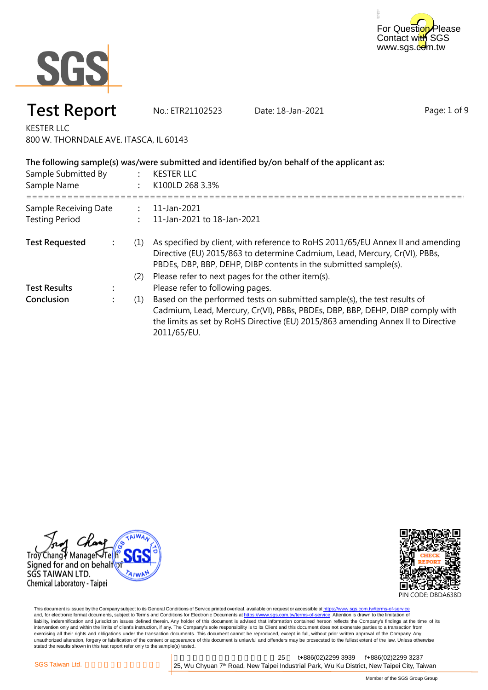



**Test Report** No.: ETR21102523 Date: 18-Jan-2021

Page: 1 of 9

KESTER LLC 800 W. THORNDALE AVE. ITASCA, IL 60143

| Sample Submitted By<br>Sample Name |  |     | The following sample(s) was/were submitted and identified by/on behalf of the applicant as:<br><b>KESTER LLC</b><br>K100LD 268 3.3%                                                                                                                          |  |
|------------------------------------|--|-----|--------------------------------------------------------------------------------------------------------------------------------------------------------------------------------------------------------------------------------------------------------------|--|
| Sample Receiving Date              |  |     | 11-Jan-2021                                                                                                                                                                                                                                                  |  |
| <b>Testing Period</b>              |  |     | 11-Jan-2021 to 18-Jan-2021                                                                                                                                                                                                                                   |  |
| <b>Test Requested</b>              |  | (1) | As specified by client, with reference to RoHS 2011/65/EU Annex II and amending<br>Directive (EU) 2015/863 to determine Cadmium, Lead, Mercury, Cr(VI), PBBs,<br>PBDEs, DBP, BBP, DEHP, DIBP contents in the submitted sample(s).                            |  |
|                                    |  | (2) | Please refer to next pages for the other item(s).                                                                                                                                                                                                            |  |
| <b>Test Results</b>                |  |     | Please refer to following pages.                                                                                                                                                                                                                             |  |
| Conclusion                         |  | (1) | Based on the performed tests on submitted sample(s), the test results of<br>Cadmium, Lead, Mercury, Cr(VI), PBBs, PBDEs, DBP, BBP, DEHP, DIBP comply with<br>the limits as set by RoHS Directive (EU) 2015/863 amending Annex II to Directive<br>2011/65/EU. |  |





This document is issued by the Company subject to its General Conditions of Service printed overleaf, available on request or accessible at <u>https://www.sgs.com.tw/terms-of-service</u><br>and, for electronic format documents, su liability, indemnification and jurisdiction issues defined therein. Any holder of this document is advised that information contained hereon reflects the Company's findings at the time of its intervention only and within the limits of client's instruction, if any. The Company's sole responsibility is to its Client and this document does not exonerate parties to a transaction from exercising all their rights and obligations under the transaction documents. This document cannot be reproduced, except in full, without prior written approval of the Company. Any<br>unauthorized alteration, forgery or falsif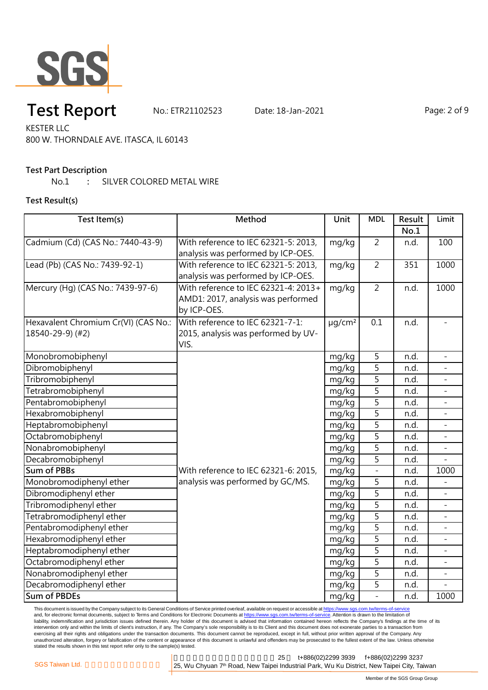

# **Test Report** No.: ETR21102523 Date: 18-Jan-2021 Page: 2 of 9

KESTER LLC 800 W. THORNDALE AVE. ITASCA, IL 60143

### **Test Part Description**

No.1 **:** SILVER COLORED METAL WIRE

### **Test Result(s)**

| Test Item(s)                         | Method                               | Unit                    | <b>MDL</b>     | Result | Limit                    |
|--------------------------------------|--------------------------------------|-------------------------|----------------|--------|--------------------------|
|                                      |                                      |                         |                | No.1   |                          |
| Cadmium (Cd) (CAS No.: 7440-43-9)    | With reference to IEC 62321-5: 2013, | mg/kg                   | $\overline{2}$ | n.d.   | 100                      |
|                                      | analysis was performed by ICP-OES.   |                         |                |        |                          |
| Lead (Pb) (CAS No.: 7439-92-1)       | With reference to IEC 62321-5: 2013, | mg/kg                   | $\overline{2}$ | 351    | 1000                     |
|                                      | analysis was performed by ICP-OES.   |                         |                |        |                          |
| Mercury (Hg) (CAS No.: 7439-97-6)    | With reference to IEC 62321-4: 2013+ | mg/kg                   | $\overline{2}$ | n.d.   | 1000                     |
|                                      | AMD1: 2017, analysis was performed   |                         |                |        |                          |
|                                      | by ICP-OES.                          |                         |                |        |                          |
| Hexavalent Chromium Cr(VI) (CAS No.: | With reference to IEC 62321-7-1:     | $\mu$ g/cm <sup>2</sup> | 0.1            | n.d.   |                          |
| 18540-29-9) (#2)                     | 2015, analysis was performed by UV-  |                         |                |        |                          |
|                                      | VIS.                                 |                         |                |        |                          |
| Monobromobiphenyl                    |                                      | mg/kg                   | $\overline{5}$ | n.d.   |                          |
| Dibromobiphenyl                      |                                      | mg/kg                   | 5              | n.d.   |                          |
| Tribromobiphenyl                     |                                      | mg/kg                   | 5              | n.d.   |                          |
| Tetrabromobiphenyl                   |                                      | mg/kg                   | 5              | n.d.   |                          |
| Pentabromobiphenyl                   |                                      | mg/kg                   | $\overline{5}$ | n.d.   | $\overline{\phantom{a}}$ |
| Hexabromobiphenyl                    |                                      | mg/kg                   | $\overline{5}$ | n.d.   |                          |
| Heptabromobiphenyl                   |                                      | mg/kg                   | 5              | n.d.   |                          |
| Octabromobiphenyl                    |                                      | mg/kg                   | $\overline{5}$ | n.d.   |                          |
| Nonabromobiphenyl                    |                                      | mg/kg                   | $\overline{5}$ | n.d.   |                          |
| Decabromobiphenyl                    |                                      | mg/kg                   | $\overline{5}$ | n.d.   |                          |
| <b>Sum of PBBs</b>                   | With reference to IEC 62321-6: 2015, | mg/kg                   | $\overline{a}$ | n.d.   | 1000                     |
| Monobromodiphenyl ether              | analysis was performed by GC/MS.     | mg/kg                   | 5              | n.d.   |                          |
| Dibromodiphenyl ether                |                                      | mg/kg                   | 5              | n.d.   |                          |
| Tribromodiphenyl ether               |                                      | mg/kg                   | 5              | n.d.   |                          |
| Tetrabromodiphenyl ether             |                                      | mg/kg                   | 5              | n.d.   |                          |
| Pentabromodiphenyl ether             |                                      | mg/kg                   | $\overline{5}$ | n.d.   | $\overline{\phantom{a}}$ |
| Hexabromodiphenyl ether              |                                      | mg/kg                   | 5              | n.d.   |                          |
| Heptabromodiphenyl ether             |                                      | mg/kg                   | 5              | n.d.   |                          |
| Octabromodiphenyl ether              |                                      | mg/kg                   | 5              | n.d.   |                          |
| Nonabromodiphenyl ether              |                                      | mg/kg                   | 5              | n.d.   |                          |
| Decabromodiphenyl ether              |                                      | mg/kg                   | 5              | n.d.   |                          |
| <b>Sum of PBDEs</b>                  |                                      | mg/kg                   | $\overline{a}$ | n.d.   | 1000                     |

This document is issued by the Company subject to its General Conditions of Service printed overleaf, available on request or accessible at <u>https://www.sgs.com.tw/terms-of-service</u><br>and, for electronic format documents, su liability, indemnification and jurisdiction issues defined therein. Any holder of this document is advised that information contained hereon reflects the Company's findings at the time of its intervention only and within the limits of client's instruction, if any. The Company's sole responsibility is to its Client and this document does not exonerate parties to a transaction from exercising all their rights and obligations under the transaction documents. This document cannot be reproduced, except in full, without prior written approval of the Company. Any<br>unauthorized alteration, forgery or falsif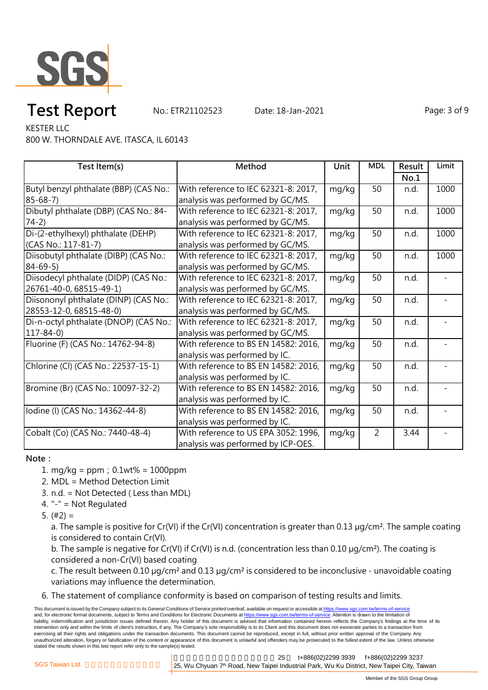

# **Test Report** No.: ETR21102523 Date: 18-Jan-2021 Page: 3 of 9

KESTER LLC

800 W. THORNDALE AVE. ITASCA, IL 60143

| Test Item(s)                           | Method                               | Unit  | <b>MDL</b>     | Result | Limit |
|----------------------------------------|--------------------------------------|-------|----------------|--------|-------|
|                                        |                                      |       |                | No.1   |       |
| Butyl benzyl phthalate (BBP) (CAS No.: | With reference to IEC 62321-8: 2017, | mg/kg | 50             | n.d.   | 1000  |
| $85 - 68 - 7$                          | analysis was performed by GC/MS.     |       |                |        |       |
| Dibutyl phthalate (DBP) (CAS No.: 84-  | With reference to IEC 62321-8: 2017, | mg/kg | 50             | n.d.   | 1000  |
| $74-2)$                                | analysis was performed by GC/MS.     |       |                |        |       |
| Di-(2-ethylhexyl) phthalate (DEHP)     | With reference to IEC 62321-8: 2017, | mg/kg | 50             | n.d.   | 1000  |
| (CAS No.: 117-81-7)                    | analysis was performed by GC/MS.     |       |                |        |       |
| Diisobutyl phthalate (DIBP) (CAS No.:  | With reference to IEC 62321-8: 2017, | mg/kg | 50             | n.d.   | 1000  |
| $84 - 69 - 5$                          | analysis was performed by GC/MS.     |       |                |        |       |
| Diisodecyl phthalate (DIDP) (CAS No.:  | With reference to IEC 62321-8: 2017, | mg/kg | 50             | n.d.   |       |
| 26761-40-0, 68515-49-1)                | analysis was performed by GC/MS.     |       |                |        |       |
| Diisononyl phthalate (DINP) (CAS No.:  | With reference to IEC 62321-8: 2017, | mg/kg | 50             | n.d.   |       |
| 28553-12-0, 68515-48-0)                | analysis was performed by GC/MS.     |       |                |        |       |
| Di-n-octyl phthalate (DNOP) (CAS No.:  | With reference to IEC 62321-8: 2017, | mg/kg | 50             | n.d.   |       |
| $117 - 84 - 0$                         | analysis was performed by GC/MS.     |       |                |        |       |
| Fluorine (F) (CAS No.: 14762-94-8)     | With reference to BS EN 14582: 2016, | mg/kg | 50             | n.d.   |       |
|                                        | analysis was performed by IC.        |       |                |        |       |
| Chlorine (Cl) (CAS No.: 22537-15-1)    | With reference to BS EN 14582: 2016, | mg/kg | 50             | n.d.   |       |
|                                        | analysis was performed by IC.        |       |                |        |       |
| Bromine (Br) (CAS No.: 10097-32-2)     | With reference to BS EN 14582: 2016, | mg/kg | 50             | n.d.   |       |
|                                        | analysis was performed by IC.        |       |                |        |       |
| lodine (I) (CAS No.: 14362-44-8)       | With reference to BS EN 14582: 2016, | mg/kg | 50             | n.d.   |       |
|                                        | analysis was performed by IC.        |       |                |        |       |
| Cobalt (Co) (CAS No.: 7440-48-4)       | With reference to US EPA 3052: 1996, | mg/kg | $\overline{2}$ | 3.44   |       |
|                                        | analysis was performed by ICP-OES.   |       |                |        |       |

#### **Note:**

- 1. mg/kg = ppm;0.1wt% = 1000ppm
- 2. MDL = Method Detection Limit
- 3. n.d. = Not Detected ( Less than MDL)
- 4. "-" = Not Regulated
- 5.  $(#2) =$

a. The sample is positive for Cr(VI) if the Cr(VI) concentration is greater than 0.13 µg/cm<sup>2</sup>. The sample coating is considered to contain Cr(VI).

b. The sample is negative for Cr(VI) if Cr(VI) is n.d. (concentration less than 0.10 µg/cm²). The coating is considered a non-Cr(VI) based coating

c. The result between 0.10 µg/cm² and 0.13 µg/cm² is considered to be inconclusive - unavoidable coating variations may influence the determination.

6. The statement of compliance conformity is based on comparison of testing results and limits.

This document is issued by the Company subject to its General Conditions of Service printed overleaf, available on request or accessible at https://www.sgs.com.tw/terms-of-service and, for electronic format documents, subject to Terms and Conditions for Electronic Documents at https://www.sgs.com.tw/terms-of-service. Attention is drawn to the limitation of liability, indemnification and jurisdiction issues defined therein. Any holder of this document is advised that information contained hereon reflects the Company's findings at the time of its intervention only and within the limits of client's instruction, if any. The Company's sole responsibility is to its Client and this document does not exonerate parties to a transaction from exercising all their rights and obligations under the transaction documents. This document cannot be reproduced, except in full, without prior written approval of the Company. Any unauthorized alteration, forgery or falsification of the content or appearance of this document is unlawful and offenders may be prosecuted to the fullest extent of the law. Unless otherwise stated the results shown in this test report refer only to the sample(s) tested.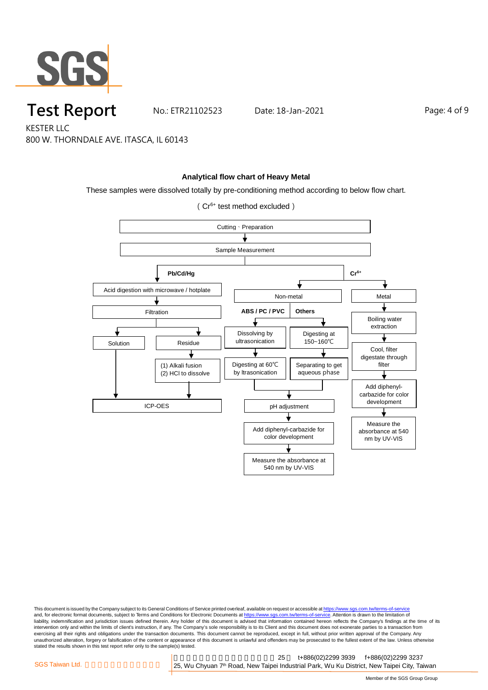

**Test Report** No.: ETR21102523 Date: 18-Jan-2021 Page: 4 of 9

KESTER LLC 800 W. THORNDALE AVE. ITASCA, IL 60143

#### **Analytical flow chart of Heavy Metal**

These samples were dissolved totally by pre-conditioning method according to below flow chart.

(Cr6+ test method excluded)



This document is issued by the Company subject to its General Conditions of Service printed overleaf, available on request or accessible at <u>https://www.sgs.com.tw/terms-of-service</u><br>and, for electronic format documents, su liability, indemnification and jurisdiction issues defined therein. Any holder of this document is advised that information contained hereon reflects the Company's findings at the time of its intervention only and within the limits of client's instruction, if any. The Company's sole responsibility is to its Client and this document does not exonerate parties to a transaction from exercising all their rights and obligations under the transaction documents. This document cannot be reproduced, except in full, without prior written approval of the Company. Any<br>unauthorized alteration, forgery or falsif stated the results shown in this test report refer only to the sample(s) tested.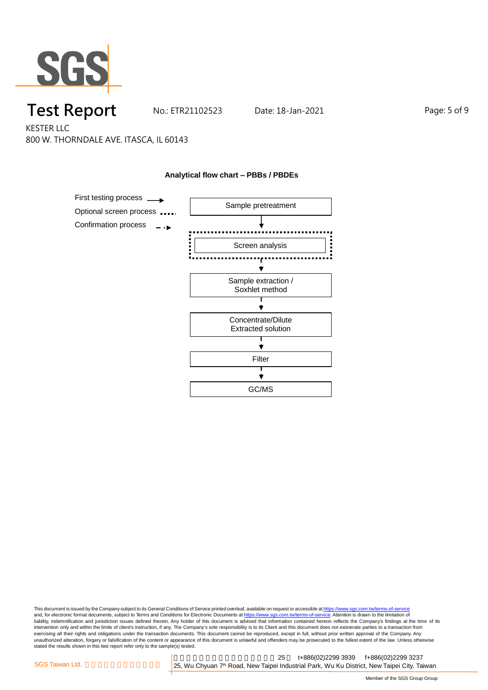

## **Test Report** No.: ETR21102523 Date: 18-Jan-2021 Page: 5 of 9

KESTER LLC 800 W. THORNDALE AVE. ITASCA, IL 60143



**Analytical flow chart – PBBs / PBDEs**

### This document is issued by the Company subject to its General Conditions of Service printed overleaf, available on request or accessible at <u>https://www.sgs.com.tw/terms-of-service</u><br>and, for electronic format documents, su liability, indemnification and jurisdiction issues defined therein. Any holder of this document is advised that information contained hereon reflects the Company's findings at the time of its intervention only and within the limits of client's instruction, if any. The Company's sole responsibility is to its Client and this document does not exonerate parties to a transaction from exercising all their rights and obligations under the transaction documents. This document cannot be reproduced, except in full, without prior written approval of the Company. Any<br>unauthorized alteration, forgery or falsif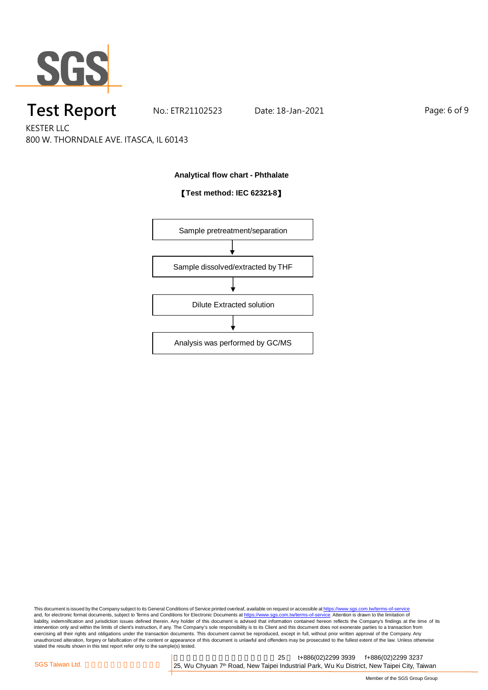

## **Test Report** No.: ETR21102523 Date: 18-Jan-2021 Page: 6 of 9

KESTER LLC 800 W. THORNDALE AVE. ITASCA, IL 60143

#### **Analytical flow chart - Phthalate**

### 【**Test method: IEC 62321-8**】



This document is issued by the Company subject to its General Conditions of Service printed overleaf, available on request or accessible at <u>https://www.sgs.com.tw/terms-of-service</u><br>and, for electronic format documents, su liability, indemnification and jurisdiction issues defined therein. Any holder of this document is advised that information contained hereon reflects the Company's findings at the time of its intervention only and within the limits of client's instruction, if any. The Company's sole responsibility is to its Client and this document does not exonerate parties to a transaction from exercising all their rights and obligations under the transaction documents. This document cannot be reproduced, except in full, without prior written approval of the Company. Any<br>unauthorized alteration, forgery or falsif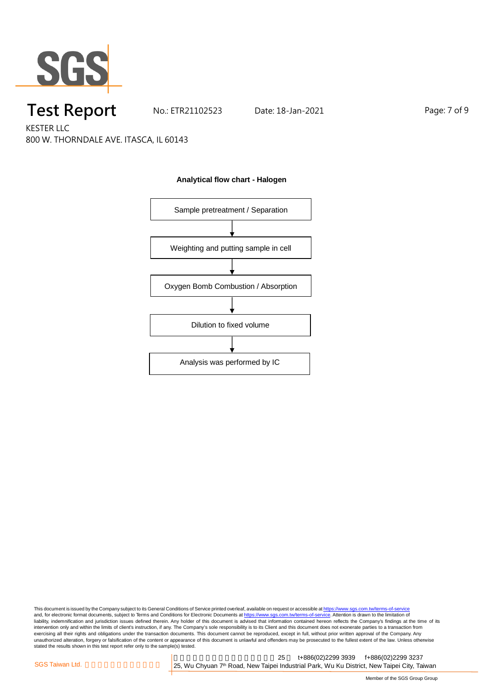

## **Test Report** No.: ETR21102523 Date: 18-Jan-2021 Page: 7 of 9

KESTER LLC 800 W. THORNDALE AVE. ITASCA, IL 60143



#### **Analytical flow chart - Halogen**

This document is issued by the Company subject to its General Conditions of Service printed overleaf, available on request or accessible at <u>https://www.sgs.com.tw/terms-of-service</u><br>and, for electronic format documents, su liability, indemnification and jurisdiction issues defined therein. Any holder of this document is advised that information contained hereon reflects the Company's findings at the time of its intervention only and within the limits of client's instruction, if any. The Company's sole responsibility is to its Client and this document does not exonerate parties to a transaction from exercising all their rights and obligations under the transaction documents. This document cannot be reproduced, except in full, without prior written approval of the Company. Any<br>unauthorized alteration, forgery or falsif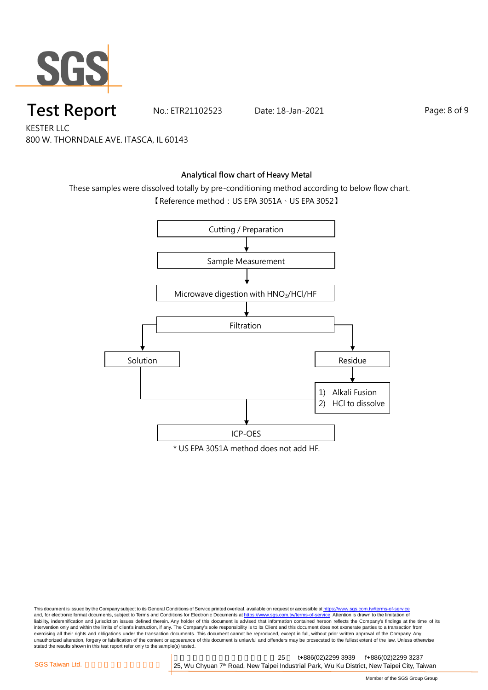

**Test Report** No.: ETR21102523 Date: 18-Jan-2021 Page: 8 of 9

KESTER LLC 800 W. THORNDALE AVE. ITASCA, IL 60143

### **Analytical flow chart of Heavy Metal**

These samples were dissolved totally by pre-conditioning method according to below flow chart.

【Reference method:US EPA 3051A、US EPA 3052】



This document is issued by the Company subject to its General Conditions of Service printed overleaf, available on request or accessible at <u>https://www.sgs.com.tw/terms-of-service</u><br>and, for electronic format documents, su liability, indemnification and jurisdiction issues defined therein. Any holder of this document is advised that information contained hereon reflects the Company's findings at the time of its intervention only and within the limits of client's instruction, if any. The Company's sole responsibility is to its Client and this document does not exonerate parties to a transaction from exercising all their rights and obligations under the transaction documents. This document cannot be reproduced, except in full, without prior written approval of the Company. Any<br>unauthorized alteration, forgery or falsif